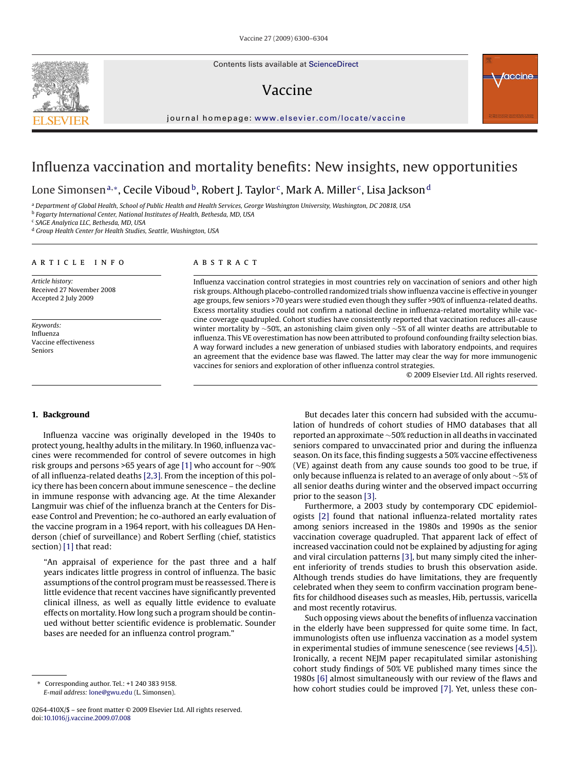Contents lists available at [ScienceDirect](http://www.sciencedirect.com/science/journal/0264410X)

# Vaccine



journal homepage: [www.elsevier.com/locate/vaccine](http://www.elsevier.com/locate/vaccine)

# Influenza vaccination and mortality benefits: New insights, new opportunities

Lone Simonsen<sup>a,∗</sup>, Cecile Viboud<sup>b</sup>, Robert J. Taylor<sup>c</sup>, Mark A. Miller<sup>c</sup>, Lisa Jackson<sup>d</sup>

<sup>a</sup> *Department of Global Health, School of Public Health and Health Services, George Washington University, Washington, DC 20818, USA*

<sup>b</sup> *Fogarty International Center, National Institutes of Health, Bethesda, MD, USA*

<sup>c</sup> *SAGE Analytica LLC, Bethesda, MD, USA*

<sup>d</sup> *Group Health Center for Health Studies, Seattle, Washington, USA*

# article info

*Article history:* Received 27 November 2008 Accepted 2 July 2009

*Keywords:* Influenza Vaccine effectiveness Seniors

#### **ABSTRACT**

Influenza vaccination control strategies in most countries rely on vaccination of seniors and other high risk groups. Although placebo-controlled randomized trials show influenza vaccine is effective in younger age groups, few seniors >70 years were studied even though they suffer >90% of influenza-related deaths. Excess mortality studies could not confirm a national decline in influenza-related mortality while vaccine coverage quadrupled. Cohort studies have consistently reported that vaccination reduces all-cause winter mortality by ∼50%, an astonishing claim given only ∼5% of all winter deaths are attributable to influenza. This VE overestimation has now been attributed to profound confounding frailty selection bias. A way forward includes a new generation of unbiased studies with laboratory endpoints, and requires an agreement that the evidence base was flawed. The latter may clear the way for more immunogenic vaccines for seniors and exploration of other influenza control strategies.

© 2009 Elsevier Ltd. All rights reserved.

# **1. Background**

Influenza vaccine was originally developed in the 1940s to protect young, healthy adults in the military. In 1960, influenza vaccines were recommended for control of severe outcomes in high risk groups and persons >65 years of age [\[1\]](#page-3-0) who account for ∼90% of all influenza-related deaths [\[2,3\]. F](#page-4-0)rom the inception of this policy there has been concern about immune senescence – the decline in immune response with advancing age. At the time Alexander Langmuir was chief of the influenza branch at the Centers for Disease Control and Prevention; he co-authored an early evaluation of the vaccine program in a 1964 report, with his colleagues DA Henderson (chief of surveillance) and Robert Serfling (chief, statistics section) [\[1\]](#page-3-0) that read:

"An appraisal of experience for the past three and a half years indicates little progress in control of influenza. The basic assumptions of the control program must be reassessed. There is little evidence that recent vaccines have significantly prevented clinical illness, as well as equally little evidence to evaluate effects on mortality. How long such a program should be continued without better scientific evidence is problematic. Sounder bases are needed for an influenza control program."

But decades later this concern had subsided with the accumulation of hundreds of cohort studies of HMO databases that all reported an approximate ∼50% reduction in all deaths in vaccinated seniors compared to unvaccinated prior and during the influenza season. On its face, this finding suggests a 50% vaccine effectiveness (VE) against death from any cause sounds too good to be true, if only because influenza is related to an average of only about ∼5% of all senior deaths during winter and the observed impact occurring prior to the season [\[3\].](#page-4-0)

Furthermore, a 2003 study by contemporary CDC epidemiologists [\[2\]](#page-4-0) found that national influenza-related mortality rates among seniors increased in the 1980s and 1990s as the senior vaccination coverage quadrupled. That apparent lack of effect of increased vaccination could not be explained by adjusting for aging and viral circulation patterns [\[3\], b](#page-4-0)ut many simply cited the inherent inferiority of trends studies to brush this observation aside. Although trends studies do have limitations, they are frequently celebrated when they seem to confirm vaccination program benefits for childhood diseases such as measles, Hib, pertussis, varicella and most recently rotavirus.

Such opposing views about the benefits of influenza vaccination in the elderly have been suppressed for quite some time. In fact, immunologists often use influenza vaccination as a model system in experimental studies of immune senescence (see reviews [\[4,5\]\).](#page-4-0) Ironically, a recent NEJM paper recapitulated similar astonishing cohort study findings of 50% VE published many times since the 1980s [\[6\]](#page-4-0) almost simultaneously with our review of the flaws and how cohort studies could be improved [\[7\]. Y](#page-4-0)et, unless these con-



<sup>∗</sup> Corresponding author. Tel.: +1 240 383 9158. *E-mail address:* [lone@gwu.edu](mailto:lone@gwu.edu) (L. Simonsen).

<sup>0264-410</sup>X/\$ – see front matter © 2009 Elsevier Ltd. All rights reserved. doi:[10.1016/j.vaccine.2009.07.008](dx.doi.org/10.1016/j.vaccine.2009.07.008)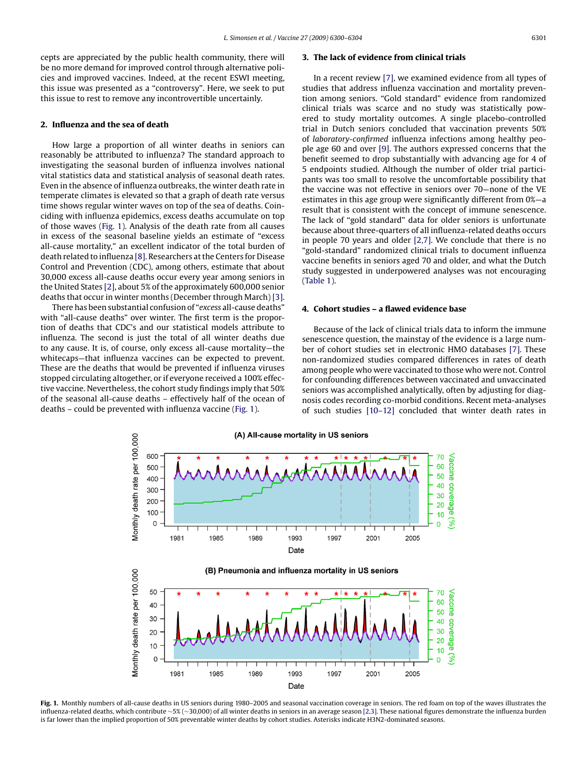cepts are appreciated by the public health community, there will be no more demand for improved control through alternative policies and improved vaccines. Indeed, at the recent ESWI meeting, this issue was presented as a "controversy". Here, we seek to put this issue to rest to remove any incontrovertible uncertainly.

# **2. Influenza and the sea of death**

How large a proportion of all winter deaths in seniors can reasonably be attributed to influenza? The standard approach to investigating the seasonal burden of influenza involves national vital statistics data and statistical analysis of seasonal death rates. Even in the absence of influenza outbreaks, the winter death rate in temperate climates is elevated so that a graph of death rate versus time shows regular winter waves on top of the sea of deaths. Coinciding with influenza epidemics, excess deaths accumulate on top of those waves (Fig. 1). Analysis of the death rate from all causes in excess of the seasonal baseline yields an estimate of "excess all-cause mortality," an excellent indicator of the total burden of death related to influenza [\[8\]. R](#page-4-0)esearchers at the Centers for Disease Control and Prevention (CDC), among others, estimate that about 30,000 excess all-cause deaths occur every year among seniors in the United States [\[2\], a](#page-4-0)bout 5% of the approximately 600,000 senior deaths that occur in winter months (December through March) [\[3\].](#page-4-0)

There has been substantial confusion of "*excess* all-cause deaths" with "all-cause deaths" over winter. The first term is the proportion of deaths that CDC's and our statistical models attribute to influenza. The second is just the total of all winter deaths due to any cause. It is, of course, only excess all-cause mortality—the whitecaps—that influenza vaccines can be expected to prevent. These are the deaths that would be prevented if influenza viruses stopped circulating altogether, or if everyone received a 100% effective vaccine. Nevertheless, the cohort study findings imply that 50% of the seasonal all-cause deaths – effectively half of the ocean of deaths – could be prevented with influenza vaccine (Fig. 1).

#### **3. The lack of evidence from clinical trials**

In a recent review [\[7\], w](#page-4-0)e examined evidence from all types of studies that address influenza vaccination and mortality prevention among seniors. "Gold standard" evidence from randomized clinical trials was scarce and no study was statistically powered to study mortality outcomes. A single placebo-controlled trial in Dutch seniors concluded that vaccination prevents 50% of *laboratory-confirmed* influenza infections among healthy people age 60 and over [\[9\]. T](#page-4-0)he authors expressed concerns that the benefit seemed to drop substantially with advancing age for 4 of 5 endpoints studied. Although the number of older trial participants was too small to resolve the uncomfortable possibility that the vaccine was not effective in seniors over 70—none of the VE estimates in this age group were significantly different from 0%—a result that is consistent with the concept of immune senescence. The lack of "gold standard" data for older seniors is unfortunate because about three-quarters of all influenza-related deaths occurs in people 70 years and older [\[2,7\].](#page-4-0) We conclude that there is no "gold-standard" randomized clinical trials to document influenza vaccine benefits in seniors aged 70 and older, and what the Dutch study suggested in underpowered analyses was not encouraging [\(Table 1\).](#page-2-0)

#### **4. Cohort studies – a flawed evidence base**

Because of the lack of clinical trials data to inform the immune senescence question, the mainstay of the evidence is a large number of cohort studies set in electronic HMO databases [\[7\]. T](#page-4-0)hese non-randomized studies compared differences in rates of death among people who were vaccinated to those who were not. Control for confounding differences between vaccinated and unvaccinated seniors was accomplished analytically, often by adjusting for diagnosis codes recording co-morbid conditions. Recent meta-analyses of such studies [\[10–12\]](#page-4-0) concluded that winter death rates in



**Fig. 1.** Monthly numbers of all-cause deaths in US seniors during 1980–2005 and seasonal vaccination coverage in seniors. The red foam on top of the waves illustrates the influenza-related deaths, which contribute ∼5% (∼30,000) of all winter deaths in seniors in an average season [\[2,3\]. T](#page-4-0)hese national figures demonstrate the influenza burden is far lower than the implied proportion of 50% preventable winter deaths by cohort studies. Asterisks indicate H3N2-dominated seasons.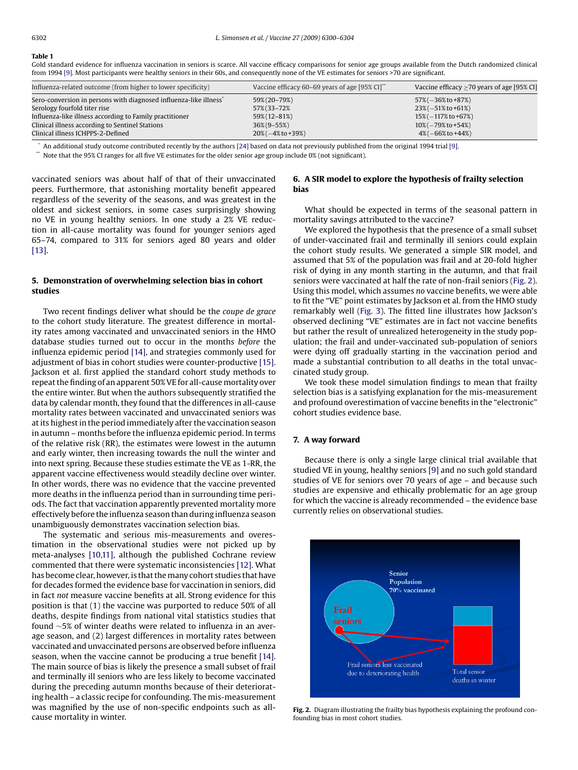#### <span id="page-2-0"></span>**Table 1**

Gold standard evidence for influenza vaccination in seniors is scarce. All vaccine efficacy comparisons for senior age groups available from the Dutch randomized clinical from 1994 [\[9\]. M](#page-4-0)ost participants were healthy seniors in their 60s, and consequently none of the VE estimates for seniors >70 are significant.

| Influenza-related outcome (from higher to lower specificity)                  | Vaccine efficacy 60–69 years of age [95% CI]" | Vaccine efficacy $>70$ years of age [95% CI] |
|-------------------------------------------------------------------------------|-----------------------------------------------|----------------------------------------------|
| Sero-conversion in persons with diagnosed influenza-like illness <sup>®</sup> | 59%(20-79%)                                   | $57\%(-36\% \text{ to } +87\%)$              |
| Serology fourfold titer rise                                                  | 57%(33-72%)                                   | $23\%(-51\% \text{ to } +61\%)$              |
| Influenza-like illness according to Family practitioner                       | 59% (12 - 81%)                                | $15\%(-117\% \text{ to } +67\%)$             |
| Clinical illness according to Sentinel Stations                               | $36\%$ (9-55%)                                | $10\%(-79\% \text{ to } +54\%)$              |
| Clinical illness ICHPPS-2-Defined                                             | $20\%(-4\% \text{ to } +39\%)$                | $4\%(-66\% \text{ to } +44\%)$               |

\* An additional study outcome contributed recently by the authors [\[24\]](#page-4-0) based on data not previously published from the original 1994 trial [\[9\].](#page-4-0)

\*\* Note that the 95% CI ranges for all five VE estimates for the older senior age group include 0% (not significant).

vaccinated seniors was about half of that of their unvaccinated peers. Furthermore, that astonishing mortality benefit appeared regardless of the severity of the seasons, and was greatest in the oldest and sickest seniors, in some cases surprisingly showing no VE in young healthy seniors. In one study a 2% VE reduction in all-cause mortality was found for younger seniors aged 65–74, compared to 31% for seniors aged 80 years and older [\[13\].](#page-4-0)

# **5. Demonstration of overwhelming selection bias in cohort studies**

Two recent findings deliver what should be the *coupe de grace* to the cohort study literature. The greatest difference in mortality rates among vaccinated and unvaccinated seniors in the HMO database studies turned out to occur in the months *before* the influenza epidemic period [\[14\], a](#page-4-0)nd strategies commonly used for adjustment of bias in cohort studies were counter-productive [\[15\].](#page-4-0) Jackson et al. first applied the standard cohort study methods to repeat the finding of an apparent 50% VE for all-cause mortality over the entire winter. But when the authors subsequently stratified the data by calendar month, they found that the differences in all-cause mortality rates between vaccinated and unvaccinated seniors was at its highest in the period immediately after the vaccination season in autumn – months before the influenza epidemic period. In terms of the relative risk (RR), the estimates were lowest in the autumn and early winter, then increasing towards the null the winter and into next spring. Because these studies estimate the VE as 1-RR, the apparent vaccine effectiveness would steadily decline over winter. In other words, there was no evidence that the vaccine prevented more deaths in the influenza period than in surrounding time periods. The fact that vaccination apparently prevented mortality more effectively before the influenza season than during influenza season unambiguously demonstrates vaccination selection bias.

The systematic and serious mis-measurements and overestimation in the observational studies were not picked up by meta-analyses [\[10,11\],](#page-4-0) although the published Cochrane review commented that there were systematic inconsistencies [\[12\]. W](#page-4-0)hat has become clear, however, is that the many cohort studies that have for decades formed the evidence base for vaccination in seniors, did in fact *not* measure vaccine benefits at all. Strong evidence for this position is that (1) the vaccine was purported to reduce 50% of all deaths, despite findings from national vital statistics studies that found ∼5% of winter deaths were related to influenza in an average season, and (2) largest differences in mortality rates between vaccinated and unvaccinated persons are observed before influenza season, when the vaccine cannot be producing a true benefit [\[14\].](#page-4-0) The main source of bias is likely the presence a small subset of frail and terminally ill seniors who are less likely to become vaccinated during the preceding autumn months because of their deteriorating health – a classic recipe for confounding. The mis-measurement was magnified by the use of non-specific endpoints such as allcause mortality in winter.

# **6. A SIR model to explore the hypothesis of frailty selection bias**

What should be expected in terms of the seasonal pattern in mortality savings attributed to the vaccine?

We explored the hypothesis that the presence of a small subset of under-vaccinated frail and terminally ill seniors could explain the cohort study results. We generated a simple SIR model, and assumed that 5% of the population was frail and at 20-fold higher risk of dying in any month starting in the autumn, and that frail seniors were vaccinated at half the rate of non-frail seniors (Fig. 2). Using this model, which assumes *no* vaccine benefits, we were able to fit the "VE" point estimates by Jackson et al. from the HMO study remarkably well [\(Fig. 3\).](#page-3-0) The fitted line illustrates how Jackson's observed declining "VE" estimates are in fact not vaccine benefits but rather the result of unrealized heterogeneity in the study population; the frail and under-vaccinated sub-population of seniors were dying off gradually starting in the vaccination period and made a substantial contribution to all deaths in the total unvaccinated study group.

We took these model simulation findings to mean that frailty selection bias is a satisfying explanation for the mis-measurement and profound overestimation of vaccine benefits in the "electronic" cohort studies evidence base.

# **7. A way forward**

Because there is only a single large clinical trial available that studied VE in young, healthy seniors [\[9\]](#page-4-0) and no such gold standard studies of VE for seniors over 70 years of age – and because such studies are expensive and ethically problematic for an age group for which the vaccine is already recommended – the evidence base currently relies on observational studies.



**Fig. 2.** Diagram illustrating the frailty bias hypothesis explaining the profound confounding bias in most cohort studies.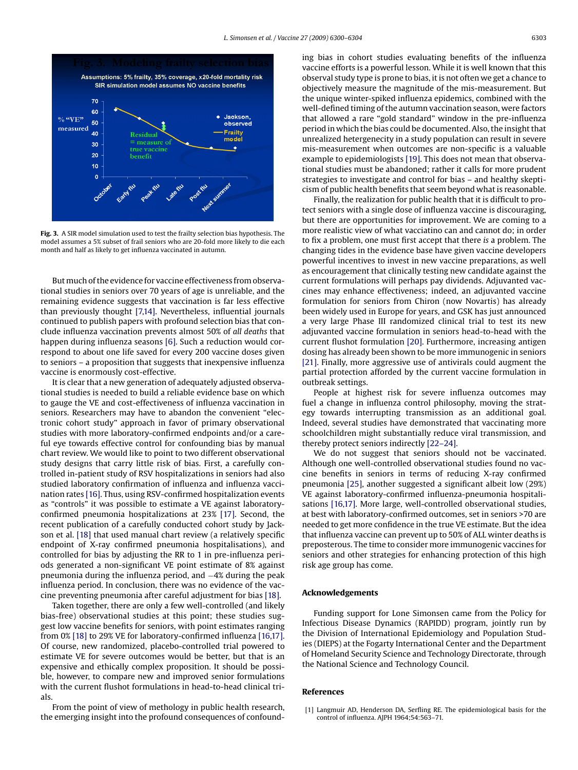<span id="page-3-0"></span>

**Fig. 3.** A SIR model simulation used to test the frailty selection bias hypothesis. The model assumes a 5% subset of frail seniors who are 20-fold more likely to die each month and half as likely to get influenza vaccinated in autumn.

But much of the evidence for vaccine effectiveness from observational studies in seniors over 70 years of age is unreliable, and the remaining evidence suggests that vaccination is far less effective than previously thought [\[7,14\].](#page-4-0) Nevertheless, influential journals continued to publish papers with profound selection bias that conclude influenza vaccination prevents almost 50% of *all deaths* that happen during influenza seasons [\[6\]. S](#page-4-0)uch a reduction would correspond to about one life saved for every 200 vaccine doses given to seniors – a proposition that suggests that inexpensive influenza vaccine is enormously cost-effective.

It is clear that a new generation of adequately adjusted observational studies is needed to build a reliable evidence base on which to gauge the VE and cost-effectiveness of influenza vaccination in seniors. Researchers may have to abandon the convenient "electronic cohort study" approach in favor of primary observational studies with more laboratory-confirmed endpoints and/or a careful eye towards effective control for confounding bias by manual chart review. We would like to point to two different observational study designs that carry little risk of bias. First, a carefully controlled in-patient study of RSV hospitalizations in seniors had also studied laboratory confirmation of influenza and influenza vaccination rates [\[16\]. T](#page-4-0)hus, using RSV-confirmed hospitalization events as "controls" it was possible to estimate a VE against laboratoryconfirmed pneumonia hospitalizations at 23% [\[17\].](#page-4-0) Second, the recent publication of a carefully conducted cohort study by Jackson et al. [\[18\]](#page-4-0) that used manual chart review (a relatively specific endpoint of X-ray confirmed pneumonia hospitalisations), and controlled for bias by adjusting the RR to 1 in pre-influenza periods generated a non-significant VE point estimate of 8% against pneumonia during the influenza period, and −4% during the peak influenza period. In conclusion, there was no evidence of the vaccine preventing pneumonia after careful adjustment for bias [\[18\].](#page-4-0)

Taken together, there are only a few well-controlled (and likely bias-free) observational studies at this point; these studies suggest low vaccine benefits for seniors, with point estimates ranging from 0% [\[18\]](#page-4-0) to 29% VE for laboratory-confirmed influenza [\[16,17\].](#page-4-0) Of course, new randomized, placebo-controlled trial powered to estimate VE for severe outcomes would be better, but that is an expensive and ethically complex proposition. It should be possible, however, to compare new and improved senior formulations with the current flushot formulations in head-to-head clinical trials.

From the point of view of methology in public health research, the emerging insight into the profound consequences of confounding bias in cohort studies evaluating benefits of the influenza vaccine efforts is a powerful lesson. While it is well known that this observal study type is prone to bias, it is not often we get a chance to objectively measure the magnitude of the mis-measurement. But the unique winter-spiked influenza epidemics, combined with the well-defined timing of the autumn vaccination season, were factors that allowed a rare "gold standard" window in the pre-influenza period in which the bias could be documented. Also, the insight that unrealized hetergenecity in a study population can result in severe mis-measurement when outcomes are non-specific is a valuable example to epidemiologists [\[19\]. T](#page-4-0)his does not mean that observational studies must be abandoned; rather it calls for more prudent strategies to investigate and control for bias – and healthy skepticism of public health benefits that seem beyond what is reasonable.

Finally, the realization for public health that it is difficult to protect seniors with a single dose of influenza vaccine is discouraging, but there are opportunities for improvement. We are coming to a more realistic view of what vacciatino can and cannot do; in order to fix a problem, one must first accept that there *is* a problem. The changing tides in the evidence base have given vaccine developers powerful incentives to invest in new vaccine preparations, as well as encouragement that clinically testing new candidate against the current formulations will perhaps pay dividends. Adjuvanted vaccines may enhance effectiveness; indeed, an adjuvanted vaccine formulation for seniors from Chiron (now Novartis) has already been widely used in Europe for years, and GSK has just announced a very large Phase III randomized clinical trial to test its new adjuvanted vaccine formulation in seniors head-to-head with the current flushot formulation [\[20\]. F](#page-4-0)urthermore, increasing antigen dosing has already been shown to be more immunogenic in seniors [\[21\]. F](#page-4-0)inally, more aggressive use of antivirals could augment the partial protection afforded by the current vaccine formulation in outbreak settings.

People at highest risk for severe influenza outcomes may fuel a change in influenza control philosophy, moving the strategy towards interrupting transmission as an additional goal. Indeed, several studies have demonstrated that vaccinating more schoolchildren might substantially reduce viral transmission, and thereby protect seniors indirectly [\[22–24\].](#page-4-0)

We do not suggest that seniors should not be vaccinated. Although one well-controlled observational studies found no vaccine benefits in seniors in terms of reducing X-ray confirmed pneumonia [\[25\], a](#page-4-0)nother suggested a significant albeit low (29%) VE against laboratory-confirmed influenza-pneumonia hospitalisations [\[16,17\].](#page-4-0) More large, well-controlled observational studies, at best with laboratory-confirmed outcomes, set in seniors >70 are needed to get more confidence in the true VE estimate. But the idea that influenza vaccine can prevent up to 50% of ALL winter deaths is preposterous. The time to consider more immunogenic vaccines for seniors and other strategies for enhancing protection of this high risk age group has come.

#### **Acknowledgements**

Funding support for Lone Simonsen came from the Policy for Infectious Disease Dynamics (RAPIDD) program, jointly run by the Division of International Epidemiology and Population Studies (DIEPS) at the Fogarty International Center and the Department of Homeland Security Science and Technology Directorate, through the National Science and Technology Council.

#### **References**

[1] Langmuir AD, Henderson DA, Serfling RE. The epidemiological basis for the control of influenza. AJPH 1964;54:563–71.